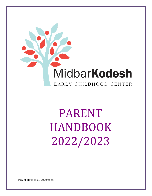

# PARENT HANDBOOK 2022/2023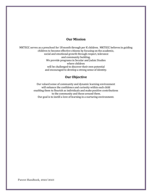# **Our Mission**

MKTECC serves as a preschool for 18 month through per K children. MKTECC believes in guiding children to become effective citizens by focusing on the academic, social and emotional growth through respect, tolerance and community building. We provide programs in Secular and Judaic Studies where children will be challenged to discover their own potential and encouraged to develop a strong sense of identity.

# **Our Objective**

Our valued sense of community and dynamic learning environment will enhance the confidence and curiosity within each child enabling them to flourish as individuals and make positive contributions to the community and those around them. Our goal is to instill a love of learning in a nurturing environment.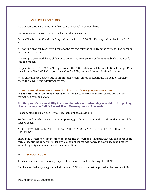# **I. CARLINE PROCEDURES**

No transportation is offered. Children come to school in personal cars.

Parent or caregiver will drop off/pick up students in car line.

Drop off begins at 8:30 AM. Half day pick up begins at 12:30 PM. Full day pick up begins at 3:20 PM.

At morning drop off, teacher will come to the car and take the child from the car seat. The parents will remain in the car.

At pick up, teacher will bring child out to the car. Parents get out of the car and buckle their child into the car seat.

Drop off is from 8:30 - 9:00 AM. If you come after 9:00 AM there will be an additional charge. Pick up is from 3:20 – 3:45 PM. If you come after 3:45 PM, there will be an additional charge.

\*\* Parents that are delayed due to unforeseen circumstances should notify the school. In those cases, there will be no additional charge.

**Accurate attendance records are critical in case of emergency or evacuation!** *Nevada State Early Childhood Licensing*. Attendance records must be accurate and will be maintained by school staff.

**It is the parent's responsibility to ensure that whoever is dropping your child off or picking them up is on your Child's Record Sheet. No exceptions will be made.** 

Please contact the front desk if you need help or have questions.

Students will only be dismissed to their parent/guardian, or an individual indicated on the Child's Record sheet.

NO CHILD WILL BE ALLOWED TO LEAVE WITH A PERSON NOT ON OUR LIST. THERE ARE NO EXCEPTIONS.

Should the Director or staff member not recognize the person picking up, they will ask to see some form of identification to verify identity. You can of course add names to your list at any time by submitting a signed note or initial the new addition.

## **II. SCHOOL HOURS**

Teachers and aides will be ready to pick children up in the line starting at 8:30 AM.

Children in a half-day program will dismiss at 12:30 PM and must be picked up before 12:45 PM.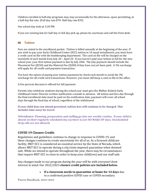Children enrolled in half-day programs may stay occasionally for the afternoon, space permitting, at a half day flat rate. (Full day rate \$70- Half-day rate \$35)

Our school day ends at 3:20 PM.

If you are running late for half day or full day pick up, please be courteous and call the front desk.

# **III. Tuition**

Fees are stated in the enrollment packet. Tuition is billed annually at the beginning of the year. If you wish to pay your Early Childhood Center (ECC) tuition in 10 equal installments, you must have a credit card on file with the bookkeeping department. The card on file will be charged on the twentieth of each month from July 20 – April 20. If you haven't paid your tuition in full for the new school year, your first tuition payment is due by July 20th. The July payment should include the Placement Fee (\$250) and the Material Fee (\$200) if they have not yet been paid. A 3% surcharge will apply for all credit card payment transaction.

You have the option of paying your tuition payments by check each month to avoid the 3% surcharge for all credit card transactions. However, you must still keep a card on file in the office.

A five percent discount is offered for full payment.

Parents who withdraw students during the school year must give the Midbar Kodesh Early Childhood Center Director written notification a month in advance. All tuition and fees due through the final enrollment date must be paid on the notification date; payment will cover all school days through the final day of school, regardless of the withdrawal.

**If your child does not attend preschool, tuition fees will continue to be charged. This includes time away for travel.**

**Attendance: Planning, preparation and staffing go into our weekly routine. If your child is absent on their regularly scheduled day (s) there is/are NO MAKE-UP days. Unscheduled drop-offs are not allowed.**

# **COVID 19 Closure Credit:**

Regulations and guidelines continue to change in response to COVID-19, and these changes continue to create uncertainty for all of us. As a licensed childcare facility, MKT ECC is considered an essential service by the State of Nevada, which allows MKT ECC to operate during a city/state imposed quarantine when deemed safe. While we intend to operate throughout the year, there may be circumstances that require MKT ECC to close in order to keep your child(ren) and our staff safe.

Any changes made to our program during the year will be with everyone'sbest interest in mind. Our 2022/2023 **closure credit policies are included below.**

> • **If a classroom needs to quarantine at home for 14 days** due to a confirmed positive COVID case or COVID secondary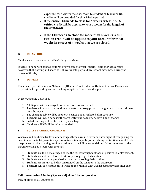exposure case within the classroom (a student or teacher), **no credits** will be provided for that 14-day period.

- If the **entire ECC needs to close for 4 weeks or less,** a **50% tuition credit** will be applied to your account for the **length of the shutdown**.
- If the **ECC needs to close for more than 4 weeks**, a **full tuition credit will be appliedto your account for those weeks in excess of 4 weeks** that we are closed.

# **IV. DRESS CODE**

Children are to wear comfortable clothing and shoes.

Fridays, in honor of Shabbat, children are welcome to wear "special" clothes. Please ensure however, that clothing and shoes still allow for safe play and pre-school messiness during the course of the day.

# **V. DIAPERS**

Diapers are permitted in our Metukeem (18 month) and Dubonim (toddler) rooms. Parents are responsible for providing and re-stocking supplies of diapers and wipes.

Diaper Changing Guidelines

- 1. All diapers will be changed every two hours or as needed.
- 2. Teachers will wash hands with warm water and soap prior to changing each diaper. Gloves must be worn.
- 3. The changing table will be properly cleaned and disinfected after each use.
- 4. Teachers will wash hands with warm water and soap after every diaper change.
- 5. Soiled clothing will be stored in a plastic bag.
- 6. Children will NEVER be left unattended.

# **VI. TOILET TRAINING GUIDELINES**

When a child has been dry for diaper changes three days in a row and show signs of recognizing the need to use the toilet, parents may choose to switch to pull-ups or training pants. When a child is in the process of toilet training, staff must adhere to the following guidelines. Most important, is the parent working as a team with the staff.

- 1. Students are to be encouraged to use the toilet through methods of positive re-enforcement.
- 2. Students are not to be forced to sit for prolonged periods of time.
- 3. Students are not to be punished for wetting or soiling their clothing.
- 4. Students are NEVER to be left unattended on the toilet or in the bathroom.
- 5. Teachers will assist students in washing their hands with warm soap and water after each use.

# **Children entering Pilonim (3 years old) should be potty-trained.**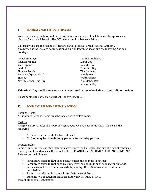# **VII. HOLIDAYS AND TEFILAH (PRAYER)**

We are a Jewish preschool, and therefore, before any snack or lunch is eaten, the appropriate blessing/bracha will be said. The ECC celebrates Shabbat each Friday.

Children will learn the Pledge of Allegiance and Hatikvah (Israeli National Anthem). As a Jewish school, we are not in session during all Jewish holidays and the following National holidays:

| Jewish Holidays        | <b>National Holidays</b> |
|------------------------|--------------------------|
| Rosh Hashanah          | Labor Day                |
| Yom Kippur             | Nevada Day               |
| Sukkot                 | Veteran's Day            |
| Simchat Torah          | Thanksgiving             |
| Passover/Spring Break  | <b>Family Day</b>        |
| Shavuot                | <b>Winter Break</b>      |
| Martin Luther King Day | President's Day          |
|                        | <b>Memorial Day</b>      |

## **Valentine's Day and Halloween are not celebrated at our school, due to their religious origin.**

Please contact the office for a current Holiday schedule.

# **VIII. FOOD AND PERSONAL ITEMS IN SCHOOL**

#### Personal Items

All student's personal items must be labeled with child's name.

## Kashrut

As a Jewish preschool, and as part of a synagogue, we are a kosher facility. This means the following:

- No meat, chicken, or shellfish are allowed
- **No food may be brought in by parents for birthday parties.**

## Food Allergies

Some of our students and staff members have severe food allergies. The one of greatest concern is that of peanuts, and as such, the school will be a **PEANUT** and **TREE NUT FREE ENVIRONMENT**. This means the following:

- Parents are asked to NOT send peanut butter and peanuts in lunches.
- **•** Parents are asked to NOT send tree nuts; this includes nuts such as cashews, almonds, pecans, walnuts, hazelnuts (**No Nutella**) among others. Sunflower seed butter is permissible.
- Parents are asked to bring snacks for their own children.
- Students will be taught there is absolutely NO SHARING of food.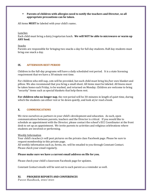## **• Parents of children with allergies need to notify the teachers and Director, so all appropriate precautions can be taken.**

All items **MUST** be labeled with your child's name**.** 

Lunches

Each child must bring a dairy/vegetarian lunch. **We will NOT be able to microwave or warm up ANY food.** 

Snacks

Parents are responsible for bringing two snacks a day for full day students. Half day students must bring one snack a day.

## **IX. AFTERNOON REST PERIOD**

Children in the full-day programs will have a daily scheduled rest period. It is a state licensing requirement that we have a 30 minute rest time.

For children who still nap, cots will be provided, but each child must bring his/her own blanket and pillow. We also recommend that you bring a small sheet. All items must be labeled. All linens must be taken home each Friday, to be washed, and returned on Monday. Children are welcome to bring "security" items such as special blankets that help them rest.

**For children who no longer nap**, the rest period will be 30-minutes in length of quiet time, during which the students can either rest or lie down quietly, and look at/or read a book.

# **X. COMMUNICATIONS**

We view ourselves as partners in your child's development and education. As such, open communications between parents, teachers and the Director is critical. If you would like to schedule an appointment with the Director, please contact the school's ECC Coordinator at the front desk to set up an appointment. We invite parents to activities and religious celebrations where students are involved or performing.

## Weekly Information

Your child's teacher/s will post pictures on the private class Facebook page. Please be sure to request membership in this private page.

All weekly information such as, forms, etc. will be emailed to you through Constant Contact. Please check your email regularly.

## **Please make sure we have a current email address on file for you.**

Please check your child's classroom Facebook page for updates.

Constant Contact emails will be sent out to each parent as a reminder as well.

# **XI. PROGRESS REPORTS AND CONFERENCES**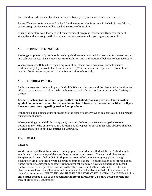Each child's needs are met by observation and twice-yearly norm reference assessments.

Parent/Teacher conferences will be held for all students. Conferences will be held in late fall and early spring. Conferences will be held at a variety of time slots.

During the conferences, teachers will review student progress. Teachers will address student strengths and areas of growth. Remember, we are partners with you regarding your child.

## **XII. STUDENT INTERACTIONS**

A strong component of preschool is teaching children to interact with others and to develop respect and self-awareness. This includes positive resolution and re-direction of behavior when necessary.

When speaking with teachers regarding your child, please do so in a private area to ensure confidentiality. If you would like to set up a Parent/ Teacher conference, please see your child's teacher. Conferences may take place before and after school only.

# **XIII. BIRTHDAY PARTIES**

Birthdays are special events in your child's life. We want teachers and the class to take the time and effort to recognize each child's birthday; however, the birthday should not become the "activity of the day".

**Kosher (Kashrut) at the school requires that any baked goods or pizza etc. have a kosher symbol on them and cannot be made at home. Touch base with the teacher or Director if you have any questions regarding kosher food products.** 

Donating a book, doing a craft, or reading to the class are other ways to celebrate a child's birthday during school hours.

When planning your child's birthday party outside of school, you are encouraged whenever possible to invite the entire class. In addition, out of respect for our families who observe Shabbat, we encourage you to not have parties on Saturdays.

## **XIV. HEALTH**

## Illnesses

Parent Handbook, 2022/2023 We do not accept ill children. We are not equipped for students with disabilities. A child may be sent home if they have any of the specific symptoms listed below. The entire Midbar Kodesh Temple's staff is certified in CPR. Both parents are notified of any emergency plans through postings on email or other private electronic communications. The application asks for residence, phone numbers, emergency contact number, physical exam by a physician, vaccination record, photo release, field trip release, credit card for the record and birthdate of child. Director and classroom teachers have all parents cell numbers and email address in their phone to be used in case of an emergency. DUE TO NEVADA HEALTH DEPARTMENT REGULATION STANDARD 3.065**, a child must be free of all of the specified symptoms for at least 24 hours before he/she can**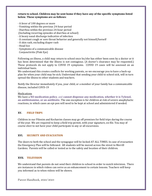#### **return to school. Children may be sent home if they have any of the specific symptoms listed below. These symptoms are as follows:**

- · A fever of 100 degrees or more
- · Vomiting within the previous 24-hour period
- · Diarrhea within the previous 24-hour period
- (Including recurring episodes of diarrhea at school)
- · A heavy nasal discharge indicative of infection
- · A constant cough or sore throat behavior and generally not himself/herself
- · A skin rash, excluding diaper rash
- · Head lice
- · Symptoms of a communicable disease
- Conjunctivitis (Pink Eye)

Following an illness, a child may return to school once he/she has either been seen by a doctor or it has been determined that the illness is not contagious. (A doctor's clearance may be requested.) These protocols do not apply to COVID 19 symptoms. COVID 19 cases will be assessed on an individual basis.

We understand this creates conflicts for working parents, so we encourage you to have a back-up plan for when your child may be sick. Understand that sending your child to school sick, will in turn spread the illness to other students and teachers.

Notify the Director immediately if you, your child, or a member of your family has a communicable disease, included COVD-19

#### . **Medications**

We have a **NO medication policy**, and **cannot dispense any medication, whether it is Tylenol, an antihistamine, or an antibiotic.** The one exception is for children at risk of severe anaphylactic reactions, in which cases an epi-pen will need to be kept at school and administered if needed.

## **XV. FIELD TRIPS**

Children in our Pilonim and Kochavim classes may go off premises for field trips during the course of the year. We are required to keep a field trip permit, with your signature, on file. You may of course elect to not have your child participate in any or all excursions.

## **XVI. SECURITY AND EVACUATION**

The doors to both the school and the synagogue will be locked AT ALL TIMES. In case of evacuation the Emergency Plan will be followed. All students will be moved across the street to Merrill Gardens. Parents will be called or texted as to the safety and location of their children.

## **XVII. TELEVISION**

We understand that parents do not send their children to school in order to watch television. There are instances in which videos can serve as an enhancement to certain lessons. Teachers will keep you informed as to when videos will be shown.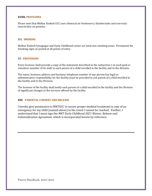## **XVIIII. PESTICIDES**

Please note that Midbar Kodesh ECC uses chemical air fresheners/ disinfectants and non-toxic insecticides on premise.

#### XIX. **SMOKING**

Midbar Kodesh Synagogue and Early Childhood center are total non-smoking areas. Permanent No Smoking signs ae posted at all points of entry.

# XII. **PROVISIONS**

Every licensee shall provide a copy of the statement described in the subsection 1 to each paid or volunteer member of its staff, to each parent of a child enrolled in the facility and to the division.

The name, business address and business telephone number of any person has legal or administrative responsibility for the facility must be provided to ach parent of a child enrolled in the facility and to the Division.

The licensee of the facility shall notify each parent of a child enrolled in the facility and the Division of significant changes in the services offered by the facility.

## **XIII. PARENTAL CONSENT AND RELEASE**

I hereby give permission to MKTECC to secure proper medical treatment in case of an emergency for my child (named above) in the event I cannot be reached. Further, I understand that I must sign the *MKT Early Childhood 2021 Waiver, Release and Indemnification Agreement,* which is incorporated herein by reference.